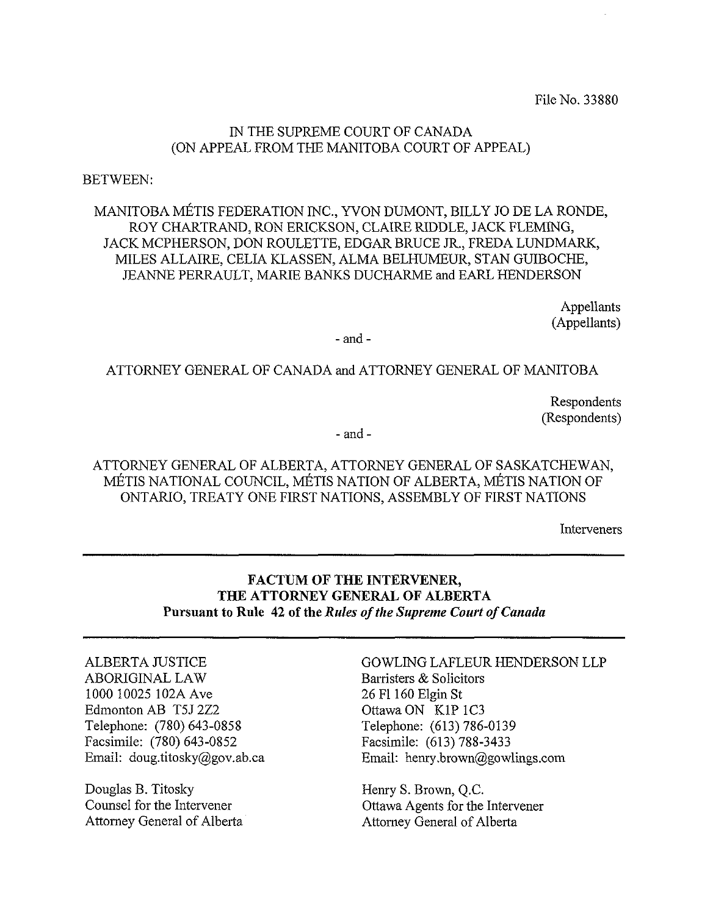File No. 33880

# IN THE SUPREME COURT OF CANADA (ON APPEAL FROM THE MANITOBA COURT OF APPEAL)

BETWEEN:

# MANITOBA MÉTIS FEDERATION INC., YVON DUMONT, BILLY JO DE LA RONDE, ROY CHARTRAND, RON ERICKSON, CLAIRE RIDDLE, JACK FLEMING, JACK MCPHERSON, DON ROULETTE, EDGAR BRUCE JR., FREDA LUNDMARK, MILES ALLAIRE, CELIA KLASSEN, ALMA BELHUMEUR, STAN GUIBOCHE, JEANNE PERRAULT, MARIE BANKS DUCHARME and EARL HENDERSON

Appellants (Appellants)

- and -

## ATTORNEY GENERAL OF CANADA and ATTORNEY GENERAL OF MANITOBA

Respondents (Respondents)

- and -

ATTORNEY GENERAL OF ALBERTA, ATTORNEY GENERAL OF SASKATCHEWAN, METIS NATIONAL COUNCIL, METIS NATION OF ALBERTA, METIS NATION OF ONTARIO, TREATY ONE FIRST NATIONS, ASSEMBLY OF FIRST NATIONS

**Interveners** 

# **FACTUM OF THE INTERVENER, THE ATTORNEY GENERAL OF ALBERTA**  Pursuant to Rule 42 of the *Rules of the Supreme Court of Canada*

ABORIGINAL LAW Barristers & Solicitors 1000 10025 102A Ave 26 F1 160 Elgin St Edmonton AB T5J 2Z2 Ottawa ON K1P 1C3 Telephone: (780) 643-0858<br>
Facsimile: (780) 643-0852<br>
Facsimile: (613) 788-3433

Douglas B. Titosky Counsel for the Intervener Attorney General of Alberta

ALBERTA JUSTICE GOWLING LAFLEUR HENDERSON LLP Facsimile: (613) 788-3433 Email: doug.titosky@gov.ab.ca Email: henry.brown@gowlings.com

> Henry S. Brown, Q.C. Ottawa Agents for the Intervener Attorney General of Alberta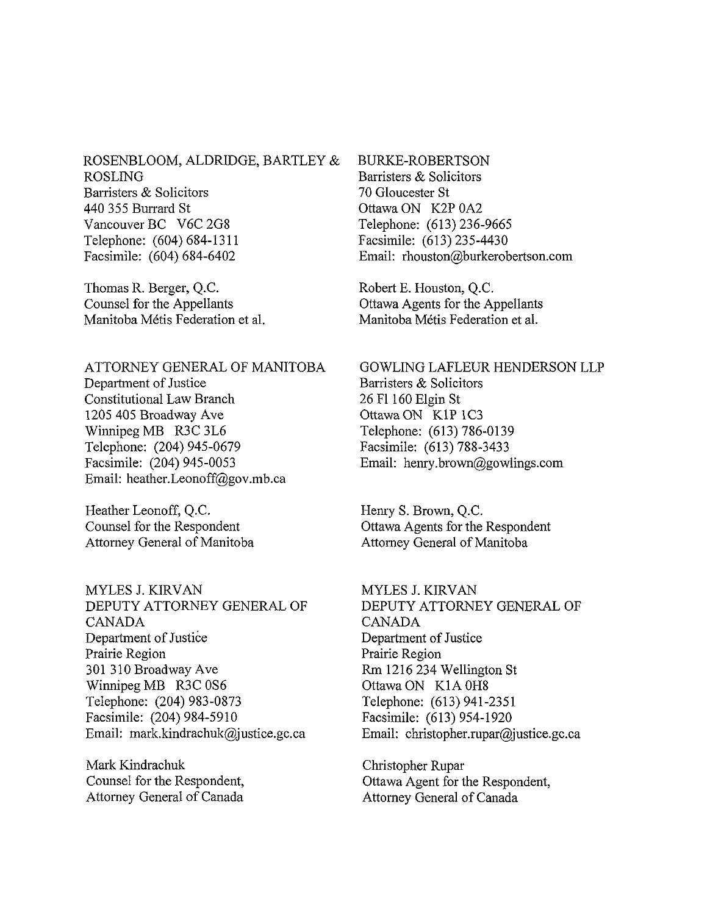ROSENBLOOM, ALDRIDGE, BARTLEY & BURKE-ROBERTSON ROSLING Barristers & Solicitors Barristers & Solicitors 70 Gloucester St 440 355 Burrard St Ottawa ON K2P OA2 Vancouver BC V6C 2G8 Telephone: (613) 236-9665 Telephone: (604) 684-1311 Facsimile: (613) 235-4430

Thomas R. Berger, Q.C. Counsel for the Appellants Manitoba Métis Federation et al.

Department of Justice Barristers & Solicitors Constitutional Law Branch 26 F1 160 Elgin St 1205 405 Broadway Ave Ottawa ON K1P 1C3 Winnipeg MB R3C 3L6 Telephone: (613) 786-0139 Telephone: (204) 945-0679 Facsimile: (613) 788-3433 Facsimile: (204) 945-0053 Email: henry.brown@gowlings.com Email: heather.Leonoff@gov.mb.ca

Heather Leonoff, Q.C. Counsel for the Respondent Attorney General of Manitoba

MYLES J. KIRVAN DEPUTY ATTORNEY GENERAL OF CANADA Department of Justice Prairie Region 301 310 Broadway Ave Winnipeg MB R3C OS6 Telephone: (204) 983-0873 Facsimile: (204) 984-5910 Email: **mark.kindrachuk@justice.gc.ca** 

Mark Kindrachuk Counsel for the Respondent, Attorney General of Canada

Facsimile: (604) 684-6402 Email: rhouston@burkerobertson.com

Robert E. Houston, Q.C. Ottawa Agents for the Appellants Manitoba Métis Federation et al.

ATTORNEY GENERAL OF MANITOBA GOWLING LAFLEUR HENDERSON LLP

Henry S. Brown, Q.C. Ottawa Agents for the Respondent Attorney General of Manitoba

MYLES J. KIRVAN DEPUTY ATTORNEY GENERAL OF CANADA Department of Justice Prairie Region Rrn 1216 234 Wellington St Ottawa ON KIA OH8 Telephone: (613) 941-2351 Facsimile: (613) 954-1920 Email: **christopher.rupar@justice.gc.ca** 

Christopher Rupar Ottawa Agent for the Respondent, Attorney General of Canada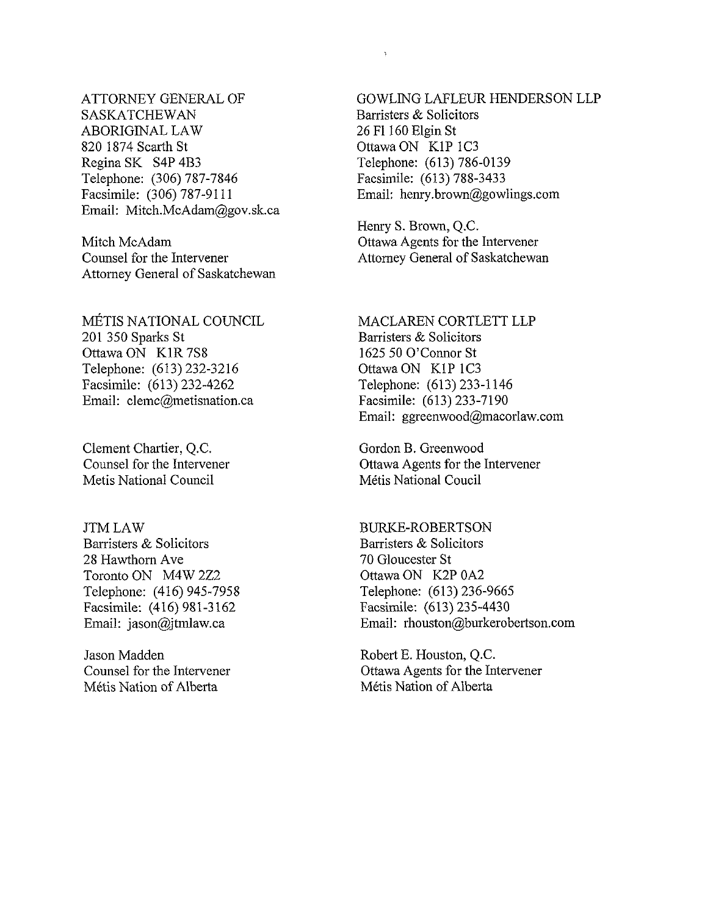ATTORNEY GENERAL OF SASKATCHEWAN ABORIGINAL LAW 820 1874 Scarth St Regina SK S4P 4B3 Telephone: (306) 787-7846 Facsimile: (306) 787-9111 Email: Mitch.McAdam@gov.sk.ca

Mitch McAdam Counsel for the Intervener Attorney General of Saskatchewan

METIS NATIONAL COUNCIL 201 350 Sparks St Ottawa ON K1R 7S8 Telephone: (613) 232-3216 Facsimile: (613) 232-4262 Email: clemc@metisnation.ca

Clement Chartier, Q.C. Counsel for the Intervener Metis National Council

JTM LAW Barristers & Solicitors 28 Hawthorn Ave Toronto ON M4W 222 Telephone: (416) 945-7958 Facsimile: (416) 981-3162 Email: jason@jtmlaw.ca

Jason Madden Counsel for the Intervener Métis Nation of Alberta

# GOWLWG LAFLEUR HENDERSON LLP Barristers & Solicitors 26 F1 160 Elgin St Ottawa ON K1P 1C3 Telephone: (613) 786-0139 Facsimile: (613) 788-3433 Email: henry.brown@gowlings.com

Henry S. Brown, Q.C. Ottawa Agents for the Intervener Attorney General of Saskatchewan

MACLAREN CORTLETT LLP Barristers & Solicitors 1625 50 O'Connor St Ottawa ON K1P 1C3 Telephone: (613) 233-1 146 Facsimile: (613) 233-7190 Email: ggreenwood@macorlaw.com

Gordon B. Greenwood Ottawa Agents for the Intervener Metis National Coucil

BURKE-ROBERTSON Barristers & Solicitors 70 Gloucester St Ottawa ON K2P OA2 Telephone: (613) 236-9665 Facsimile: (613) 235-4430

Email: rhouston@burkerobertson.com Robert E. Houston, Q.C. Ottawa Agents for the Intervener Metis Nation of Alberta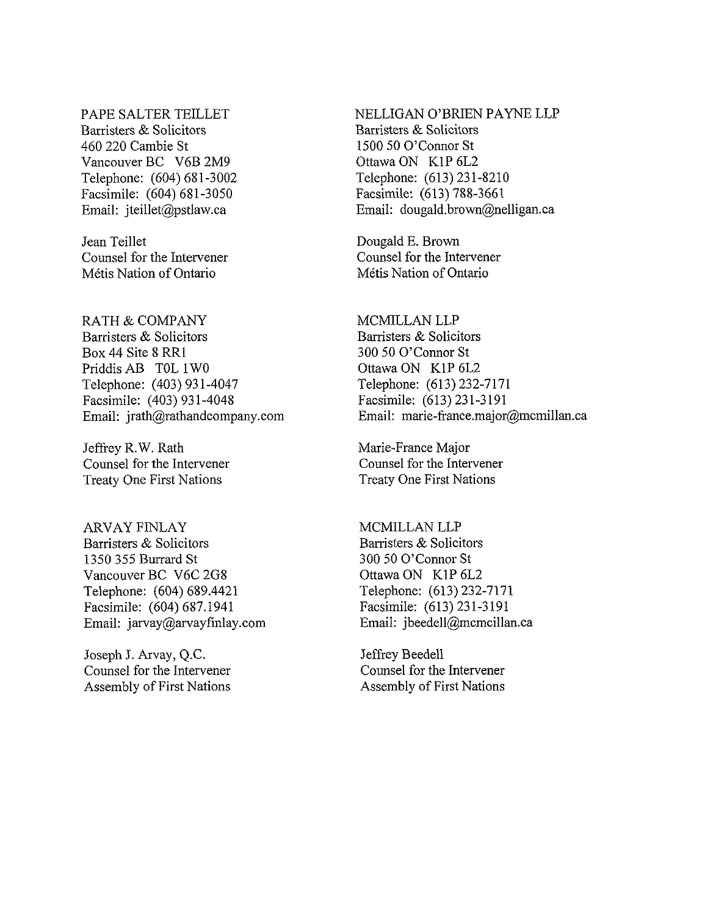#### PAPE SALTER TEILLET

Barristers & Solicitors 460 220 Cambie St Vancouver BC V6B 2M9 Telephone: (604) 681-3002 Facsimile: (604) 681-3050 Email: jteillet@pstlaw.ca

Jean Teillet Counsel for the Intervener M6tis Nation of Ontario

#### RATH & COMPANY

Barristers & Solicitors Box 44 Site 8 RRI Priddis AB TOL 1 WO Telephone: (403) 93 1-4047 Facsimile: (403) 931-4048 Email: jrath@rathandcompany.com

Jeffrey R.W. Rath Counsel for the Intervener Treaty One First Nations

ARVAY FINLAY Barristers & Solicitors 1350 355 Burrard St Vancouver BC V6C 2G8 Telephone: (604) 689.4421 Facsimile: (604) 687.1941 Email: jarvay@arvayfinlay.com

Joseph J. Arvay, Q.C. Counsel for the Intervener Assembly of First Nations

# NELLIGAN O'BRIEN PAYNE LLP Barristers & Solicitors 1500 50 O'Connor St Ottawa ON KIP 6L2 Telephone: (613) 23 1-8210 Facsimile: (613) 788-3661 Email: **dougald.brown@nelligan.ca**

Dougald E. Brown Counsel for the Intervener M6tis Nation of Ontario

MCMILLAN LLP Barristers & Solicitors 300 50 O'Connor St Ottawa ON KIP 6L2 Telephone: (613) 232-7171 Facsimile: (613) 231-3191 Email: **marie-france.major@mcmillan.ca** 

Marie-France Major Counsel for the Intervener Treaty One First Nations

MCMILLAN LLP Barristers & Solicitors 300 50 O'Connor St Ottawa ON KIP 6L2 Telephone: (613) 232-7171 Facsimile: (613) 231-3191 Email: jbeedell@mcmcillan.ca

Jeffrey Beedell Counsel for the Intervener Assembly of First Nations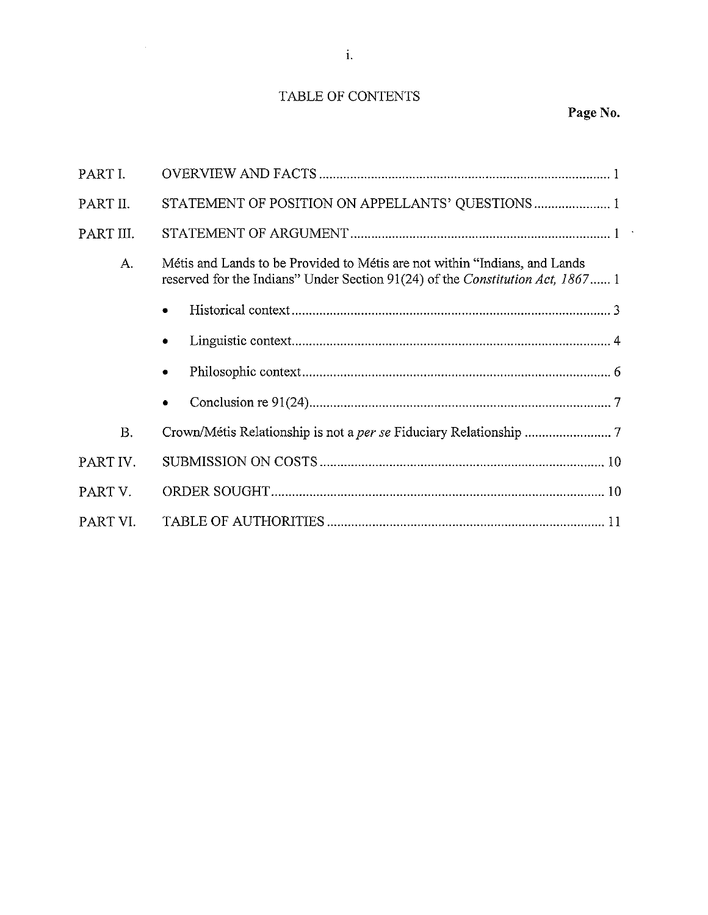# TABLE OF CONTENTS

| PART I.   |                                                                                                                                                              |
|-----------|--------------------------------------------------------------------------------------------------------------------------------------------------------------|
| PART II.  | STATEMENT OF POSITION ON APPELLANTS' QUESTIONS 1                                                                                                             |
| PART III. |                                                                                                                                                              |
| А.        | Métis and Lands to be Provided to Métis are not within "Indians, and Lands<br>reserved for the Indians" Under Section 91(24) of the Constitution Act, 1867 1 |
|           |                                                                                                                                                              |
|           |                                                                                                                                                              |
|           |                                                                                                                                                              |
|           |                                                                                                                                                              |
| <b>B.</b> |                                                                                                                                                              |
| PART IV.  |                                                                                                                                                              |
| PART V.   |                                                                                                                                                              |
| PART VI.  |                                                                                                                                                              |

 $\mathcal{L}^{\text{max}}_{\text{max}}$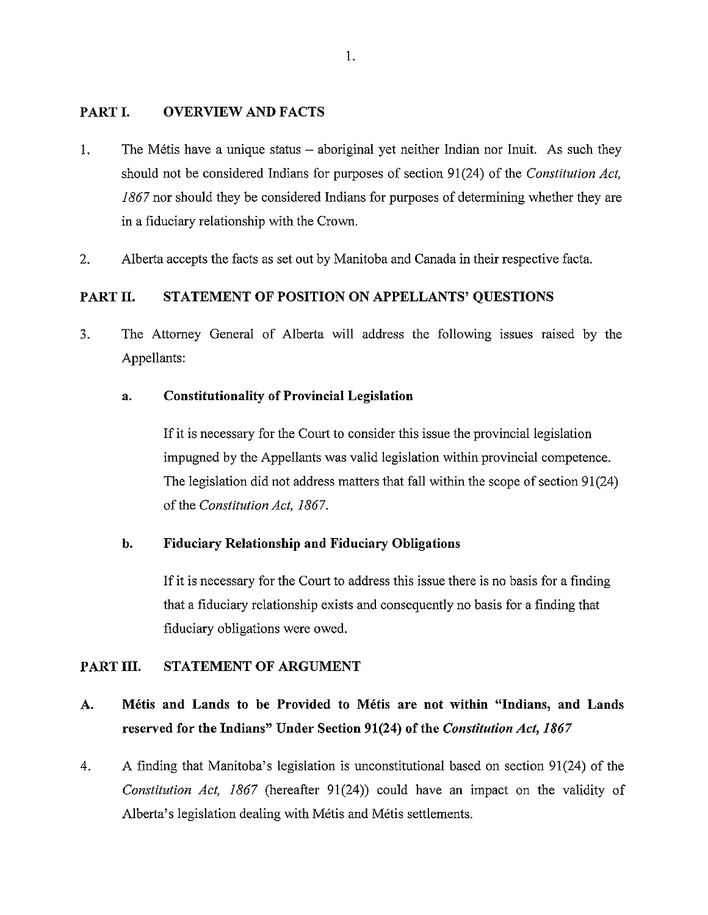# **PART I. OVERVIEW AND FACTS**

- 1. The Métis have a unique status aboriginal yet neither Indian nor Inuit. As such they should not be considered Indians for purposes of section 91(24) of the *Constitution Act, I867* nor should they be considered Indians for purposes of determining whether they are in a fiduciary relationship with the Crown.
- 2. Alberta accepts the facts as set out by Manitoba and Canada in their respective facta.

# **PART 11. STATEMENT OF POSITION ON APPELLANTS' QUESTIONS**

**3.** The Attorney General of Alberta will address the following issues raised by the Appellants:

#### **a. Constitutionality of Provincial Legislation**

If it is necessary for the Court to consider this issue the provincial legislation impugned by the Appellants was valid legislation within provincial competence. The legislation did not address matters that fall within the scope of section 91(24) of the *Constitution Act. 1867.* 

#### **b. Fiduciary Relationship and Fiduciary Obligations**

If it is necessary for the Court to address this issue there is no basis for a finding that a fiduciary relationship exists and consequently no basis for a finding that fiduciary obligations were owed.

#### **PART 111. STATEMENT OF ARGUMENT**

# **A. Mitis and Lands to be Provided to Mitis are not within "Indians, and Lands resewed for the Indians" Under Section 91(24) of the** *Constitution Act,* **1867**

4. A finding that Manitoba's legislation is unconstitutional based on section 91(24) of the *Constitution Act, 1867* (hereafter 91(24)) could have an impact on the validity of Alberta's legislation dealing with Métis and Métis settlements.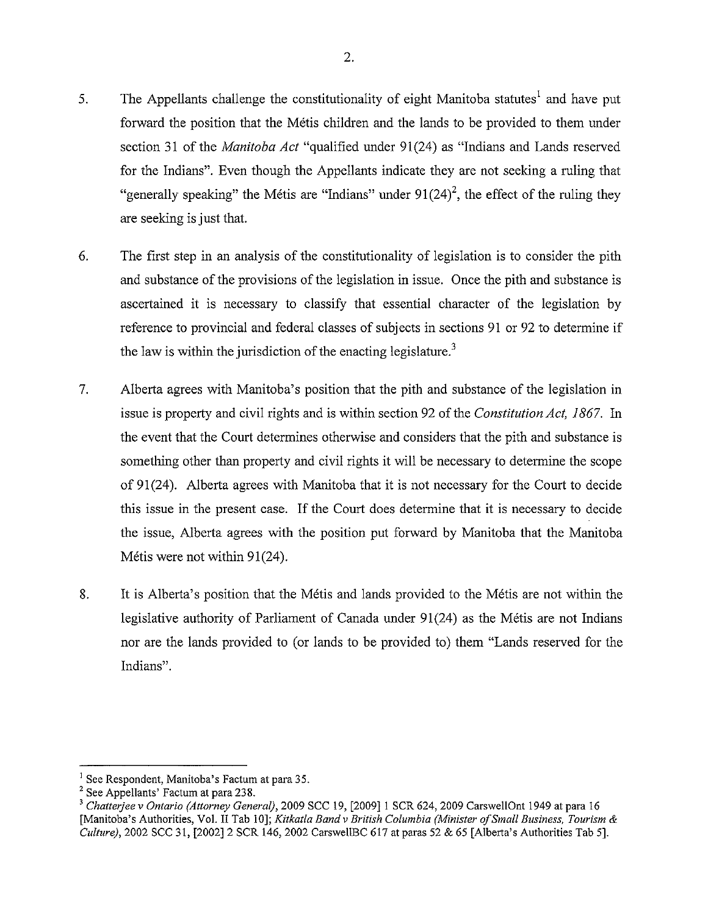- 5. The Appellants challenge the constitutionality of eight Manitoba statutes<sup>1</sup> and have put forward the position that the Métis children and the lands to be provided to them under section 31 of the *Manitoba Act* "qualified under 91(24) as "Indians and Lands reserved for the Indians". Even though the Appellants indicate they are not seeking a ruling that "generally speaking" the Métis are "Indians" under  $91(24)^2$ , the effect of the ruling they are seeking is just that.
- *6.* The first step in an analysis of the constitutionality of legislation is to consider the pith and substance of the provisions of the legislation in issue. Once the pith and substance is ascertained it is necessary to classify that essential character of the legislation by reference to provincial and federal classes of subjects in sections 91 or 92 to determine if the law is within the jurisdiction of the enacting legislature.<sup>3</sup>
- 7. Alberta agrees with Manitoba's position that the pith and substance of the legislation in issue is property and civil rights and is within section 92 of the *Constitution Act,* 1867. In the event that the Court determines otherwise and considers that the pith and substance is something other than property and civil rights it will be necessary to determine the scope of 91(24). Alberta agrees with Manitoba that it is not necessary for the Court to decide this issue in the present case. If the Court does determine that it is necessary to decide the issue, Alberta agrees with the position put fonvard by Manitoba that the Manitoba Métis were not within 91(24).
- 8. It is Alberta's position that the Métis and lands provided to the Métis are not within the legislative authority of Parliament of Canada under  $91(24)$  as the Métis are not Indians nor are the lands provided to (or lands to be provided to) them "Lands reserved for the Indians".

<sup>&</sup>lt;sup>1</sup> See Respondent, Manitoba's Factum at para 35.

<sup>&</sup>lt;sup>2</sup> See Appellants' Factum at para 238.

<sup>&</sup>lt;sup>3</sup> Chatterjee v Ontario (Attorney General), 2009 SCC 19, [2009] 1 SCR 624, 2009 CarswellOnt 1949 at para 16 [Manitoba's Authorities, Vol. I1 Tab 101; *Kitkatla Band* v *British Columbia (Minister of Small Business, Tourism* & *Culture),* 2002 SCC 31, [2002] 2 SCR 146,2002 CarswellBC 617 at paras 52 & 65 [Alberta's Authorities Tab 51.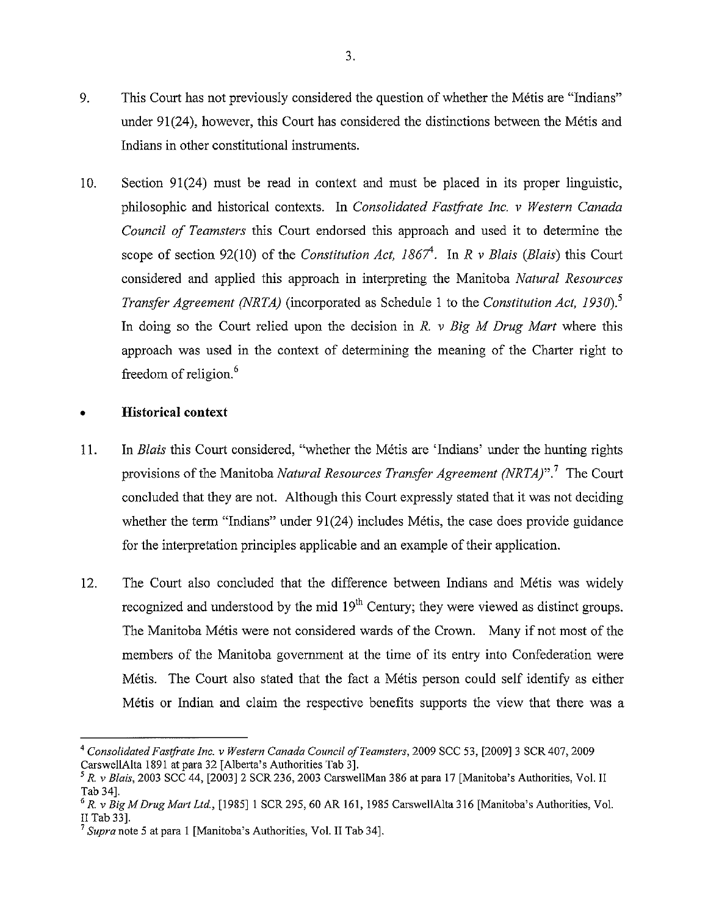- 9. This Court has not previously considered the question of whether the Métis are "Indians" under 91(24), however, this Court has considered the distinctions between the Métis and Indians in other constitutional instruments.
- 10. Section 91(24) must be read in context and must be placed in its proper linguistic, philosophic and historical contexts. In *Consolidated Fastfrate Inc. v Western Canada Council of Teamsters* this Court endorsed this approach and used it to determine the scope of section 92(10) of the *Constitution Act, 1867*<sup>4</sup>. In *R v Blais (Blais)* this Court considered and applied this approach in interpreting the Manitoba *Natural Resources Transfer Agreement (NRTA)* (incorporated as Schedule 1 to the *Constitution Act, 1930*).<sup>5</sup> In doing so the Court relied upon the decision in *R.* v *Big M Drug Mart* where this approach was used in the context of determining the meaning of the Charter right to freedom of religion. $6$

### . **Historical context**

- 11. In *Blais* this Court considered, "whether the Métis are 'Indians' under the hunting rights provisions of the Manitoba *Natural Resources Transfer Agreement (NRTA)".'* The Court concluded that they are not. Although this Court expressly stated that it was not deciding whether the term "Indians" under  $91(24)$  includes Métis, the case does provide guidance for the interpretation principles applicable and an example of their application.
- 12. The Court also concluded that the difference between Indians and M6tis was widely recognized and understood by the mid  $19<sup>th</sup>$  Century; they were viewed as distinct groups. The Manitoba Métis were not considered wards of the Crown. Many if not most of the members of the Manitoba government at the time of its entry into Confederation were Métis. The Court also stated that the fact a Métis person could self identify as either Métis or Indian and claim the respective benefits supports the view that there was a

<sup>&</sup>lt;sup>4</sup> Consolidated Fastfrate Inc. v Western Canada Council of Teamsters, 2009 SCC 53, [2009] 3 SCR 407, 2009 CarswellAlta 1891 at para 32 [Alberta's Authorities Tab 31.

*R. v Blais,* 2003 SCC 44, [2003] 2 SCR 236,2003 CarswellMan 386 at para 17 [Manitoba's Authorities, Vol. **I1**  Tab 341.

<sup>&</sup>lt;sup>6</sup> R. v Big M Drug Mart Ltd., [1985] 1 SCR 295, 60 AR 161, 1985 CarswellAlta 316 [Manitoba's Authorities, Vol. **11** Tab 331.

*Supra* note 5 at para 1 [Manitoba's Authorities, Vol. **I1** Tab 341.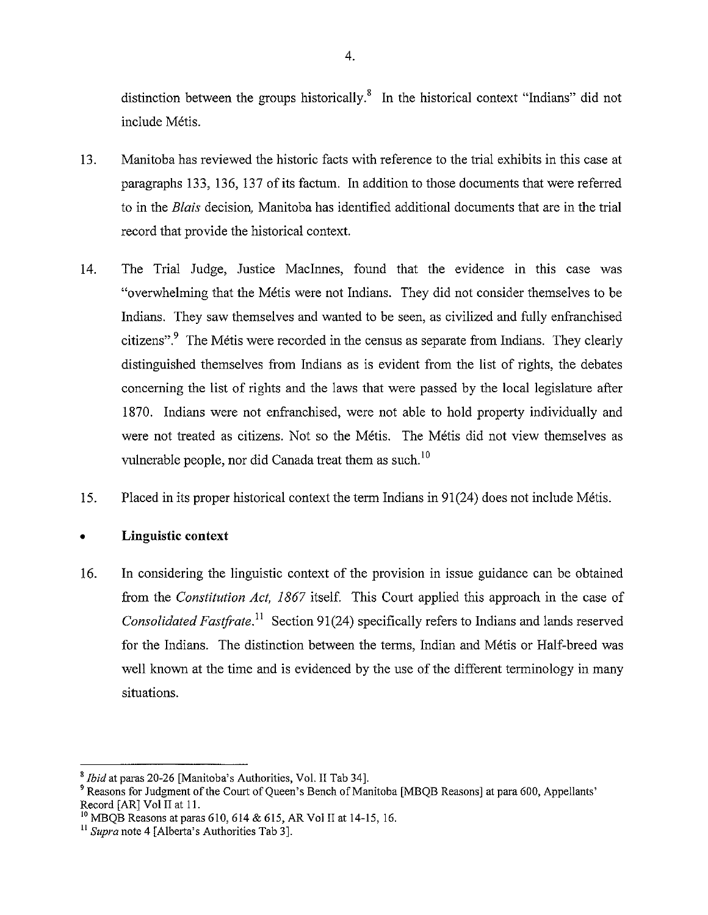distinction between the groups historically.<sup>8</sup> In the historical context "Indians" did not include Métis.

- 13. Manitoba has reviewed the historic facts with reference to the trial exhibits in this case at paragraphs 133, 136, 137 of its factum. In addition to those documents that were referred to in the *Blais* decision, Manitoba has identified additional documents that are in the trial record that provide the historical context.
- 14. The Trial Judge, Justice MacInnes, found that the evidence in this case was "overwhelming that the Métis were not Indians. They did not consider themselves to be Indians. They saw themselves and wanted to be seen, as civilized and fully enfranchised citizens". $\degree$  The Métis were recorded in the census as separate from Indians. They clearly distinguished themselves from Indians as is evident from the list of rights, the debates concerning the list of rights and the laws that were passed by the local legislature after 1870. Indians were not enfranchised, were not able to hold property individually and were not treated as citizens. Not so the Métis. The Métis did not view themselves as vulnerable people, nor did Canada treat them as such.<sup>10</sup>
- 15. Placed in its proper historical context the term Indians in 91(24) does not include Mitis.

# . **Linguistic context**

16. In considering the linguistic context of the provision in issue guidance can be obtained from the *Constitution Act,* 1867 itself. This Court applied this approach in the case of *Consolidated Fastfrate.*<sup>11</sup> Section 91(24) specifically refers to Indians and lands reserved for the Indians. The distinction between the terms, Indian and Métis or Half-breed was well known at the time and is evidenced by the use of the different terminology in many situations.

*Ibid* at paras 20-26 [Manitoba's Authorities, Vol. I1 Tab 341.

<sup>&</sup>lt;sup>9</sup> Reasons for Judgment of the Court of Oueen's Bench of Manitoba [MBOB Reasons] at para 600, Appellants' Record [AR] Vol I1 at 11.

**<sup>&#</sup>x27;O** MBQB Reasons at paras 610,614 & 615, ARVol I1 at 14-15, 16.

*Supra* note 4 [Alberta's Authorities Tab 31.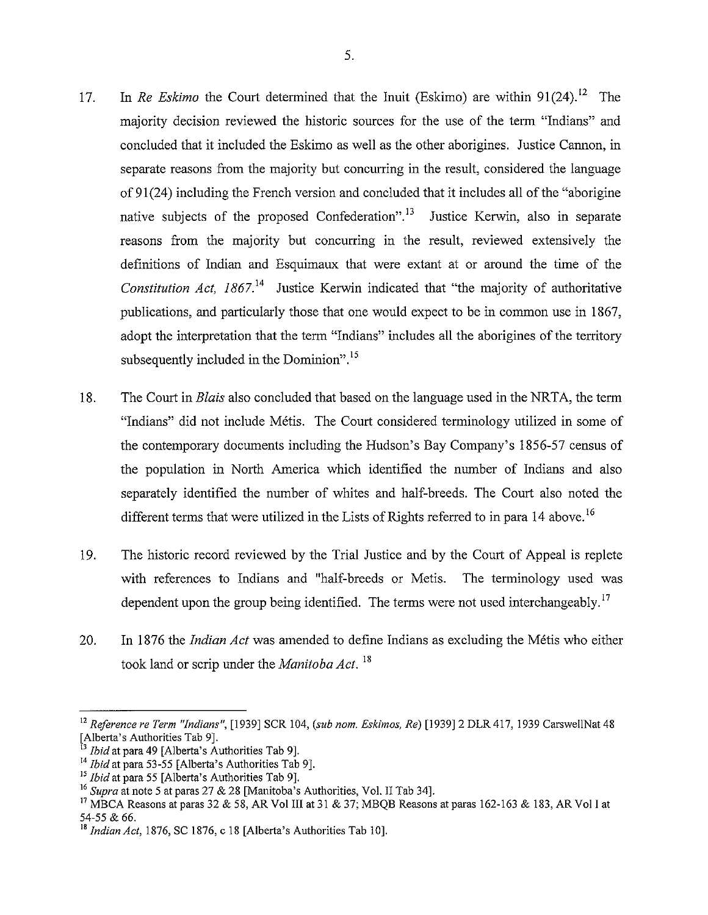- 17. In Re *Eskimo* the Court determined that the Inuit (Eskimo) are within 91(24).<sup>12</sup> The majority decision reviewed the historic sources for the use of the term "Indians" and concluded that it included the Eskimo as well as the other aborigines. Justice Cannon, in separate reasons from the majority but concurring in the result, considered the language of 91(24) including the French version and concluded that it includes all of the "aborigine native subjects of the proposed Confederation".<sup>13</sup> Justice Kerwin, also in separate reasons from the majority but concurring in the result, reviewed extensively the definitions of Indian and Esquimaux that were extant at or around the time of the *Constitution Act, 1867.*<sup>14</sup> Justice Kerwin indicated that "the majority of authoritative publications, and particularly those that one would expect to be in common use in 1867, adopt the interpretation that the term "Indians" includes all the aborigines of the territory subsequently included in the Dominion".<sup>15</sup>
- 18. The Court in *Blais* also concluded that based on the language used in the NRTA, the term "Indians" did not include Métis. The Court considered terminology utilized in some of the contemporary documents including the Hudson's Bay Company's 1856-57 census of the population in North America which identified the number of Indians and also separately identified the number of whites and half-breeds. The Court also noted the different terms that were utilized in the Lists of Rights referred to in para 14 above.<sup>16</sup>
- 19. The historic record reviewed by the Trial Justice and by the Court of Appeal is replete with references to Indians and "half-breeds or Metis. The terminology used was dependent upon the group being identified. The terms were not used interchangeably.<sup>17</sup>
- 20. In 1876 the *Indian Act* was amended to define Indians as excluding the Mitis who either took land or scrip under the *Manitoba Act.* **IS**

<sup>&</sup>lt;sup>12</sup> Reference re Term "Indians", [1939] SCR 104, (sub nom. Eskimos, Re) [1939] 2 DLR 417, 1939 CarswellNat 48 [Alberta's Authorities Tab 9].

<sup>&</sup>lt;sup>13</sup> *Ibid* at para 49 [Alberta's Authorities Tab 9].

**l4** *Ibid* at para 53-55 [Alberta's Authorities Tab 91.

<sup>&</sup>lt;sup>15</sup> *Ibid* at para 55 [Alberta's Authorities Tab 9].

<sup>&</sup>lt;sup>16</sup> Supra at note 5 at paras 27 & 28 [Manitoba's Authorities, Vol. II Tab 34].

<sup>&</sup>lt;sup>17</sup> MBCA Reasons at paras 32 & 58, AR Vol III at 31 & 37; MBQB Reasons at paras 162-163 & 183, AR Vol I at 54-55 & 66.

<sup>&</sup>lt;sup>18</sup> Indian Act, 1876, SC 1876, *c* 18 [Alberta's Authorities Tab 10].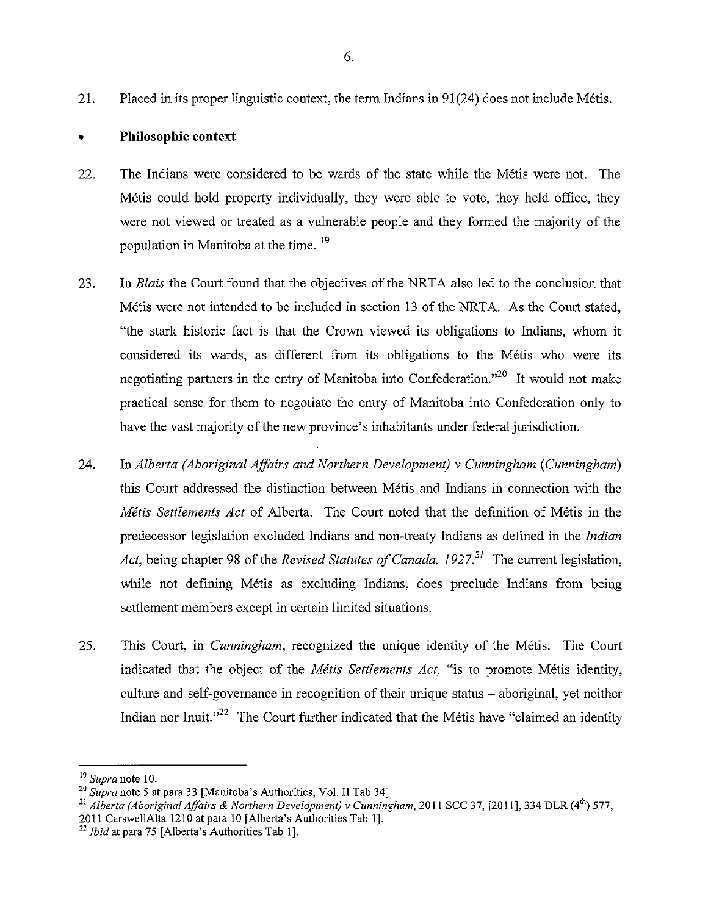*21.* Placed in its proper linguistic context, the term Indians in *91(24)* does not include Metis.

# . **Philosophic context**

- *22.* The Indians were considered to be wards of the state while the Metis were not. The Metis could hold property individually, they were able to vote, they held office, they were not viewed or treated as a vulnerable people and they formed the majority of the population in Manitoba at the time. **<sup>19</sup>**
- 23. In *Blais* the Court found that the objectives of the NRTA also led to the conclusion that Métis were not intended to be included in section 13 of the NRTA. As the Court stated, "the stark historic fact is that the Crown viewed its obligations to Indians, whom it considered its wards, as different from its obligations to the Metis who were its negotiating partners in the entry of Manitoba into Confederation."<sup>20</sup> It would not make practical sense for them to negotiate the entry of Manitoba into Confederation only to have the vast majority of the new province's inhabitants under federal jurisdiction.
- 24. In *Alberta (Aboriginal Affairs and Northern Development) v Cunningham (Cunningham)*  this Court addressed the distinction between Metis and Indians in connection with the *Me'tis Settlements Act* of Alberta. The Court noted that the definition of Metis in the predecessor legislation excluded Indians and non-treaty Indians as defined in the *Indian Act*, being chapter 98 of the *Revised Statutes of Canada, 1927*<sup>21</sup> The current legislation, while not defining Métis as excluding Indians, does preclude Indians from being settlement members except in certain limited situations.
- 25. This Court, in *Cunningham,* recognized the unique identity of the Mitis. The Court indicated that the object of the *Me'tis Settlements Act,* "is to promote Metis identity, culture and self-governance in recognition of their unique status – aboriginal, yet neither Indian nor Inuit."<sup>22</sup> The Court further indicated that the Métis have "claimed an identity

**l9** *Supra* note 10.

*<sup>20</sup>Supra* note 5 at para 33 [Manitoba's Authorities, Vol. I1 Tab 341.

<sup>&</sup>lt;sup>21</sup> Alberta (Aboriginal Affairs & Northern Development) v Cunningham, 2011 SCC 37, [2011], 334 DLR (4<sup>th</sup>) 577, 2011 CarswellAlta 1210 at para 10 [Alberta's Authorities Tab 1].

<sup>&</sup>lt;sup>22</sup> *Ibid* at para 75 [Alberta's Authorities Tab 1].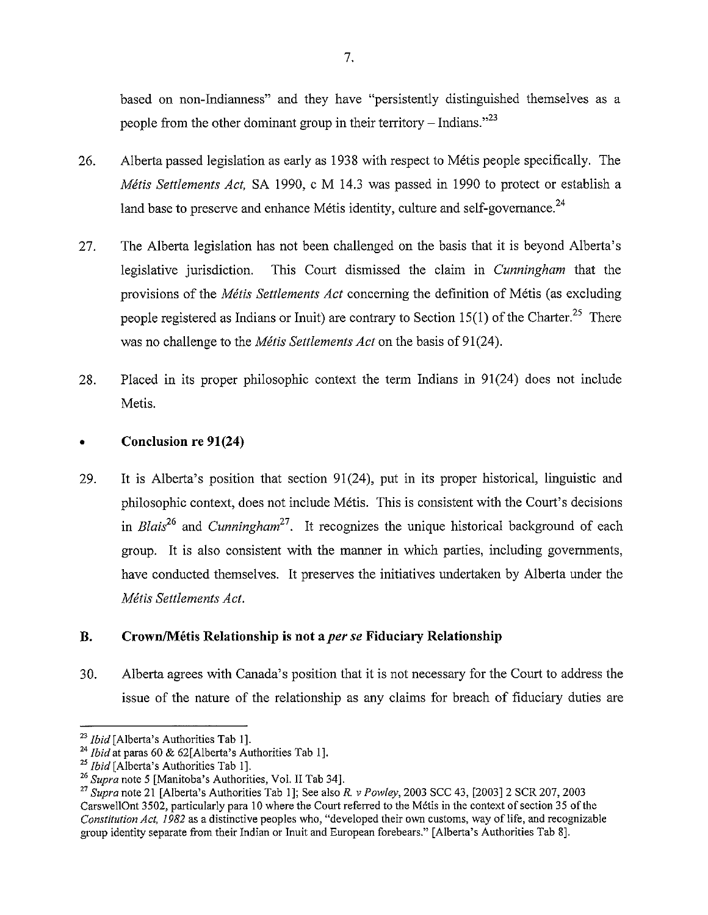based on non-Indianness" and they have "persistently distinguished themselves as a people from the other dominant group in their territory  $-$  Indians."<sup>23</sup>

- 26. Alberta passed legislation as early as 1938 with respect to Métis people specifically. The *Me'tis Settlements Act,* SA 1990, c M 14.3 was passed in 1990 to protect or establish a land base to preserve and enhance Métis identity, culture and self-governance.<sup>24</sup>
- 27. The Alberta legislation has not been challenged on the basis that it is beyond Alberta's legislative jurisdiction. This Court dismissed the claim in *Cunningham* that the provisions of the *Métis Settlements Act* concerning the definition of Métis (as excluding people registered as Indians or Inuit) are contrary to Section 15(1) of the Charter.<sup>25</sup> There was no challenge to the *Me'tis Settlements Act* on the basis of 91(24).
- 28. Placed in its proper philosophic context the term Indians in 91(24) does not include Metis.

# . Conclusion re **91(24)**

29. It is Alberta's position that section 91(24), put in its proper historical, linguistic and philosophic context, does not include Métis. This is consistent with the Court's decisions in *Blais*<sup>26</sup> and *Cunningham*<sup>27</sup>. It recognizes the unique historical background of each group. It is also consistent with the manner in which parties, including governments, have conducted themselves. It preserves the initiatives undertaken by Alberta under the *Me'tis Settlements Act.* 

# **B.** Crown/Métis Relationship is not a *per se* Fiduciary Relationship

30. Alberta agrees with Canada's position that it is not necessary for the Court to address the issue of the nature of the relationship as any claims for breach of fiduciary duties are -

<sup>&</sup>lt;sup>23</sup> Ibid [Alberta's Authorities Tab 1].

<sup>&</sup>lt;sup>24</sup> Ibid at paras 60 & 62[Alberta's Authorities Tab 1].

<sup>&</sup>lt;sup>25</sup> *Ibid* [Alberta's Authorities Tab 1].

**<sup>26</sup>***Supra* note 5 [Manitoba's Authorities, Vol. I1 Tab 341.

*<sup>&</sup>quot;Supra* note 21 [Alberta's Authorities Tab 11; See also R. **v** Powley, 2003 SCC 43, [2003] 2 SCR 207,2003 CarswellOnt 3502, particularly para 10 where the Court referred to the Métis in the context of section 35 of the Constitution *Act,* 1982 as a distinctive peoples who, "developed their own customs, way of life, and recognizable group identity separate from their Indian or Inuit and European forebears." [Alberta's Authorities Tab 81.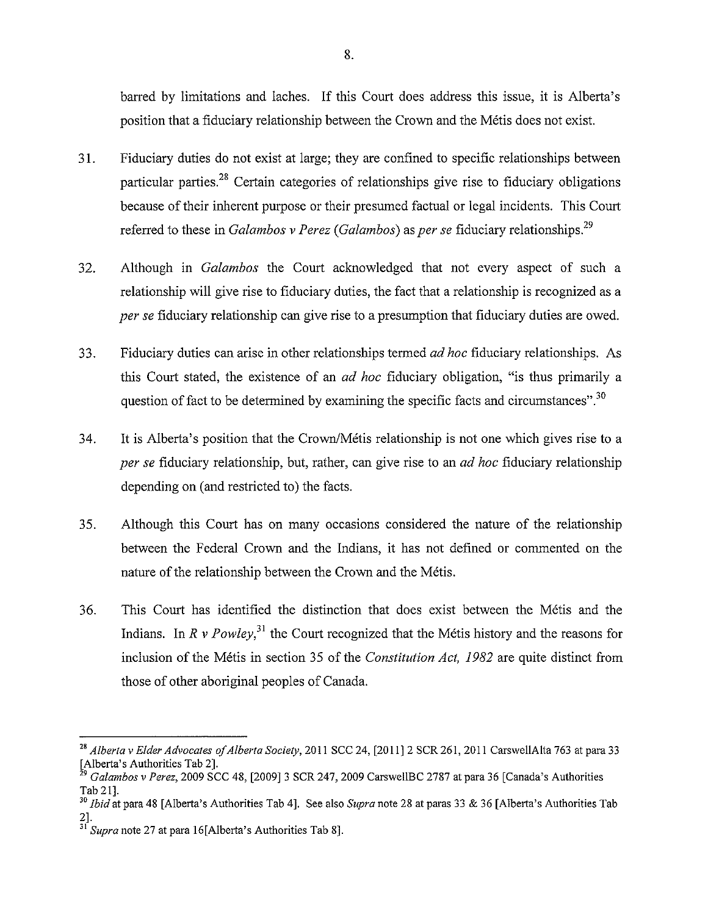barred by limitations and laches. If this Court does address this issue, it is Alberta's position that a fiduciary relationship between the Crown and the Métis does not exist.

- 31. Fiduciary duties do not exist at large; they are confined to specific relationships between particular parties.28 Certain categories of relationships give rise to fiduciary obligations because of their inherent purpose or their presumed factual or legal incidents. This Court referred to these in *Galambos* **v** *Perez (Galambos)* as *per se* fiduciary relationships.29
- 32. Although in *Galambos* the Court acknowledged that not every aspect of such a relationship will give rise to fiduciary duties, the fact that a relationship is recognized as a *per se* fiduciary relationship can give rise to a presumption that fiduciary duties are owed.
- **33.** Fiduciary duties can arise in other relationships termed *ad hoc* fiduciary relationships. As this Court stated, the existence of an *ad hoc* fiduciary obligation, "is thus primarily a question of fact to be determined by examining the specific facts and circumstances".<sup>30</sup>
- 34. It is Alberta's position that the Crown/Métis relationship is not one which gives rise to a *per se* fiduciary relationship, but, rather, can give rise to an *ad hoc* fiduciary relationship depending on (and restricted to) the facts.
- 35. Although this Court has on many occasions considered the nature of the relationship between the Federal Crown and the Indians, it has not defined or commented on the nature of the relationship between the Crown and the Métis.
- 36. This Court has identified the distinction that does exist between the Metis and the Indians. In  $R v Powlev<sup>31</sup>$ , the Court recognized that the Métis history and the reasons for inclusion of the M6tis in section 35 of the *Constitution Act, I982* are quite distinct from those of other aboriginal peoples of Canada.

<sup>&</sup>lt;sup>28</sup> Alberta v Elder Advocates of Alberta Society, 2011 SCC 24, [2011] 2 SCR 261, 2011 CarswellAlta 763 at para 33 [Alberta's Authorities Tab 21.

**<sup>29</sup>***Galainbas* v *Perez,* 2009 SCC 48, [2009] 3 SCR247,2009 CarswellBC 2787 at para 36 [Canada's Authorities Tab 21].<br><sup>30</sup> Ibid at para 48 [Alberta's Authorities Tab 4]. See also Supra note 28 at paras 33 & 36 [Alberta's Authorities Tab

**<sup>30</sup>***Ibid* at para 48 [Alberta's Authorities Tab 41. See also *Supra* note 28 at paras 33 & 36 [Alberta's Authorities Tab **0, f/.** *Supra* note 27 at para 16[Alberta's Authorities Tab 81.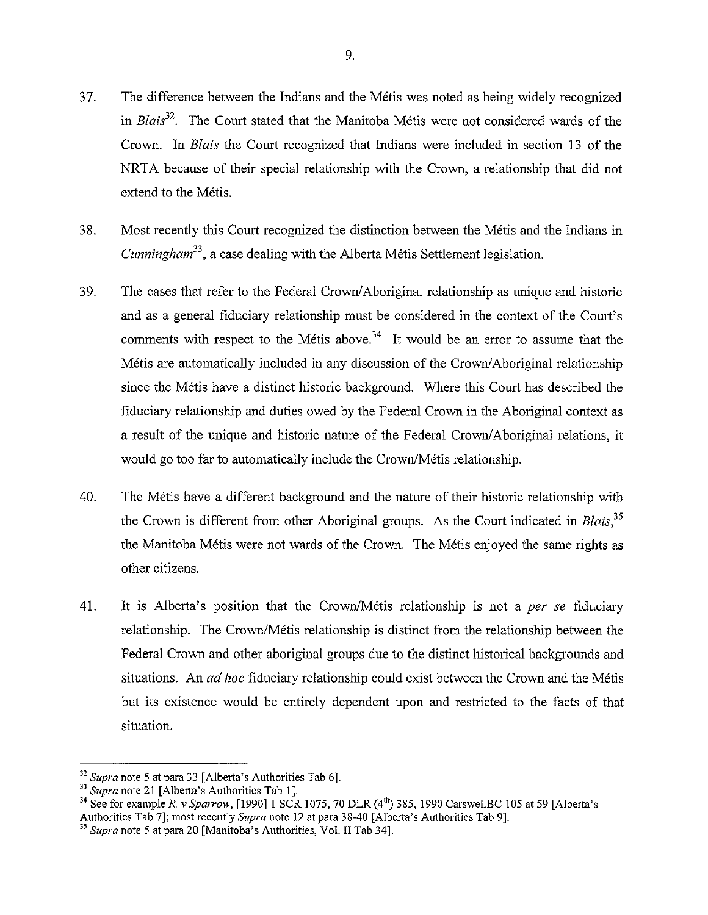- 37. The difference between the Indians and the Métis was noted as being widely recognized in Blais<sup>32</sup>. The Court stated that the Manitoba Métis were not considered wards of the Crown. In Blais the Court recognized that Indians were included in section 13 of the NRTA because of their special relationship with the Crown, a relationship that did not extend to the Métis.
- 38. Most recently this Court recognized the distinction between the Métis and the Indians in *Cunningham*<sup>33</sup>, a case dealing with the Alberta Métis Settlement legislation.
- 39. The cases that refer to the Federal Crown/Aboriginal relationship as unique and historic and as a general fiduciary relationship must be considered in the context of the Court's comments with respect to the Métis above.<sup>34</sup> It would be an error to assume that the Métis are automatically included in any discussion of the Crown/Aboriginal relationship since the Métis have a distinct historic background. Where this Court has described the fiduciary relationship and duties owed by the Federal Crown in the Aboriginal context as a result of the unique and historic nature of the Federal Crown/Aboriginal relations, it would go too far to automatically include the Crown/Métis relationship.
- 40. The Métis have a different background and the nature of their historic relationship with the Crown is different from other Aboriginal groups. As the Court indicated in  $Blais$ <sup>35</sup>. the Manitoba Métis were not wards of the Crown. The Métis enjoyed the same rights as other citizens.
- 41. It is Alberta's position that the Crown/Métis relationship is not a *per se* fiduciary relationship. The Crown/Métis relationship is distinct from the relationship between the Federal Crown and other aboriginal groups due to the distinct historical backgrounds and situations. An *ad hoc* fiduciary relationship could exist between the Crown and the Métis but its existence would be entirely dependent upon and restricted to the facts of that situation.

<sup>&</sup>lt;sup>32</sup>*Supra* note 5 at para 33 [Alberta's Authorities Tab 6].

<sup>&</sup>lt;sup>33</sup> *Supra* note 21 [Alberta's Authorities Tab 1].

**<sup>34</sup>**See for example *R,* **v** *Sparrow,* [I9901 1 SCR 1075,70 DLR (4") 385, 1990 CarswellBC 105 at 59 [Alberta's Authorities Tab 7]; most recently *Supra* note 12 at para 38-40 [Alberta's Authorities Tab 9].<br><sup>35</sup> *Supra* note 5 at para 20 [Manitoba's Authorities, Vol. II Tab 341.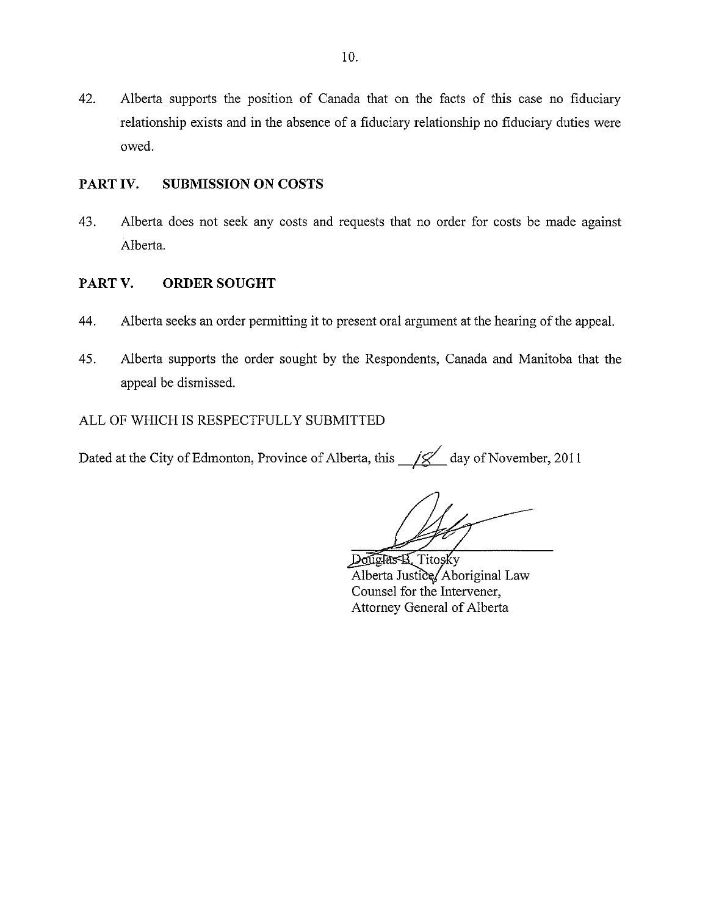42. Alberta supports the position of Canada that on the facts of this case no fiduciary relationship exists and in the absence of a fiduciary relationship no fiduciary duties were owed.

# **PART IV. SUBMISSION ON COSTS**

43. Alberta does not seek any costs and requests that no order for costs be made against Alberta.

# **PART V. ORDER SOUGHT**

- 44. Alberta seeks an order permitting it to present oral argument at the hearing of the appeal.
- 45. Alberta supports the order sought by the Respondents, Canada and Manitoba that the appeal be dismissed.

# ALL OF WHICH IS RESPECTFULLY SUBMITTED

Dated at the City of Edmonton, Province of Alberta, this  $\frac{1}{8}$  day of November, 2011

Douglas B. Titosky Alberta Justice Aboriginal Law Counsel for the Intervener, Attorney General of Alberta